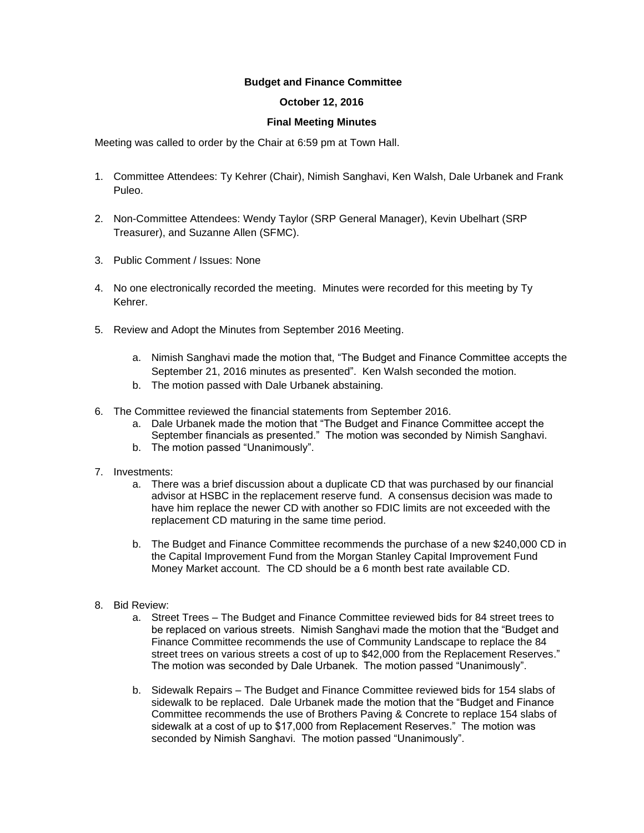## **Budget and Finance Committee**

## **October 12, 2016**

## **Final Meeting Minutes**

Meeting was called to order by the Chair at 6:59 pm at Town Hall.

- 1. Committee Attendees: Ty Kehrer (Chair), Nimish Sanghavi, Ken Walsh, Dale Urbanek and Frank Puleo.
- 2. Non-Committee Attendees: Wendy Taylor (SRP General Manager), Kevin Ubelhart (SRP Treasurer), and Suzanne Allen (SFMC).
- 3. Public Comment / Issues: None
- 4. No one electronically recorded the meeting. Minutes were recorded for this meeting by Ty Kehrer.
- 5. Review and Adopt the Minutes from September 2016 Meeting.
	- a. Nimish Sanghavi made the motion that, "The Budget and Finance Committee accepts the September 21, 2016 minutes as presented". Ken Walsh seconded the motion.
	- b. The motion passed with Dale Urbanek abstaining.
- 6. The Committee reviewed the financial statements from September 2016.
	- a. Dale Urbanek made the motion that "The Budget and Finance Committee accept the September financials as presented." The motion was seconded by Nimish Sanghavi.
	- b. The motion passed "Unanimously".
- 7. Investments:
	- a. There was a brief discussion about a duplicate CD that was purchased by our financial advisor at HSBC in the replacement reserve fund. A consensus decision was made to have him replace the newer CD with another so FDIC limits are not exceeded with the replacement CD maturing in the same time period.
	- b. The Budget and Finance Committee recommends the purchase of a new \$240,000 CD in the Capital Improvement Fund from the Morgan Stanley Capital Improvement Fund Money Market account. The CD should be a 6 month best rate available CD.
- 8. Bid Review:
	- a. Street Trees The Budget and Finance Committee reviewed bids for 84 street trees to be replaced on various streets. Nimish Sanghavi made the motion that the "Budget and Finance Committee recommends the use of Community Landscape to replace the 84 street trees on various streets a cost of up to \$42,000 from the Replacement Reserves." The motion was seconded by Dale Urbanek. The motion passed "Unanimously".
	- b. Sidewalk Repairs The Budget and Finance Committee reviewed bids for 154 slabs of sidewalk to be replaced. Dale Urbanek made the motion that the "Budget and Finance Committee recommends the use of Brothers Paving & Concrete to replace 154 slabs of sidewalk at a cost of up to \$17,000 from Replacement Reserves." The motion was seconded by Nimish Sanghavi. The motion passed "Unanimously".